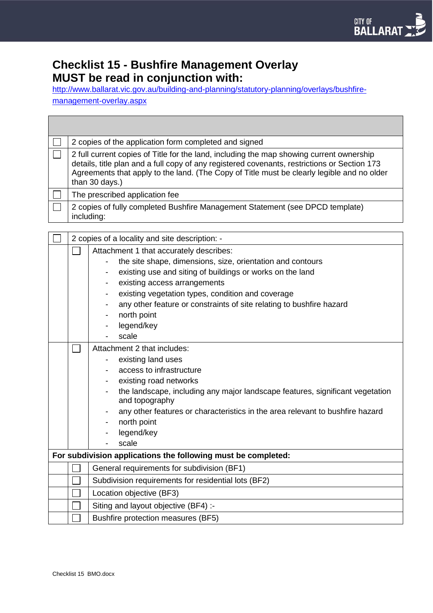## **Checklist 15 - Bushfire Management Overlay MUST be read in conjunction with:**

[http://www.ballarat.vic.gov.au/building-and-planning/statutory-planning/overlays/bushfire](http://www.ballarat.vic.gov.au/building-and-planning/statutory-planning/overlays/bushfire-management-overlay.aspx)[management-overlay.aspx](http://www.ballarat.vic.gov.au/building-and-planning/statutory-planning/overlays/bushfire-management-overlay.aspx)

| 2 copies of the application form completed and signed                                                                                                                                                                                                                                                    |
|----------------------------------------------------------------------------------------------------------------------------------------------------------------------------------------------------------------------------------------------------------------------------------------------------------|
| 2 full current copies of Title for the land, including the map showing current ownership<br>details, title plan and a full copy of any registered covenants, restrictions or Section 173<br>Agreements that apply to the land. (The Copy of Title must be clearly legible and no older<br>than 30 days.) |
| The prescribed application fee                                                                                                                                                                                                                                                                           |
| 2 copies of fully completed Bushfire Management Statement (see DPCD template)<br>including:                                                                                                                                                                                                              |

|                                                               | 2 copies of a locality and site description: - |                                                                                                 |  |
|---------------------------------------------------------------|------------------------------------------------|-------------------------------------------------------------------------------------------------|--|
|                                                               |                                                | Attachment 1 that accurately describes:                                                         |  |
|                                                               |                                                | the site shape, dimensions, size, orientation and contours                                      |  |
|                                                               |                                                | existing use and siting of buildings or works on the land<br>$\overline{\phantom{a}}$           |  |
|                                                               |                                                | existing access arrangements                                                                    |  |
|                                                               |                                                | existing vegetation types, condition and coverage                                               |  |
|                                                               |                                                | any other feature or constraints of site relating to bushfire hazard                            |  |
|                                                               |                                                | north point                                                                                     |  |
|                                                               |                                                | legend/key                                                                                      |  |
|                                                               |                                                | scale                                                                                           |  |
|                                                               |                                                | Attachment 2 that includes:                                                                     |  |
|                                                               |                                                | existing land uses                                                                              |  |
|                                                               |                                                | access to infrastructure                                                                        |  |
|                                                               |                                                | existing road networks                                                                          |  |
|                                                               |                                                | the landscape, including any major landscape features, significant vegetation<br>and topography |  |
|                                                               |                                                | any other features or characteristics in the area relevant to bushfire hazard                   |  |
|                                                               |                                                | north point                                                                                     |  |
|                                                               |                                                | legend/key                                                                                      |  |
|                                                               |                                                | scale                                                                                           |  |
| For subdivision applications the following must be completed: |                                                |                                                                                                 |  |
|                                                               |                                                | General requirements for subdivision (BF1)                                                      |  |
|                                                               |                                                | Subdivision requirements for residential lots (BF2)                                             |  |
|                                                               |                                                | Location objective (BF3)                                                                        |  |
|                                                               |                                                | Siting and layout objective (BF4) :-                                                            |  |
|                                                               |                                                | Bushfire protection measures (BF5)                                                              |  |